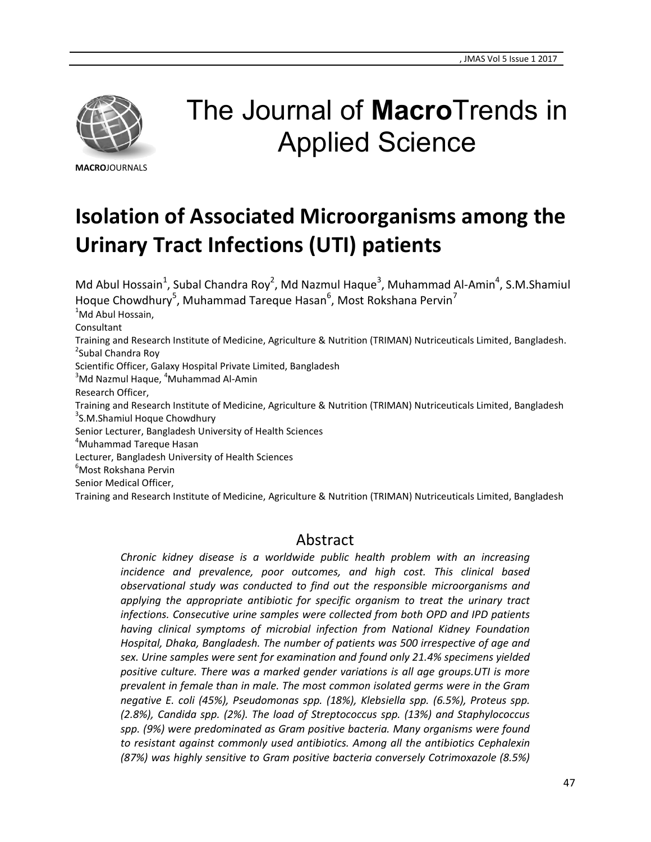

# The Journal of **Macro**Trends in Applied Science

**MACRO**JOURNALS

## **Isolation of Associated Microorganisms among the Urinary Tract Infections (UTI) patients**

Md Abul Hossain<sup>1</sup>, Subal Chandra Roy<sup>2</sup>, Md Nazmul Haque<sup>3</sup>, Muhammad Al-Amin<sup>4</sup>, S.M.Shamiul Hoque Chowdhury<sup>5</sup>, Muhammad Tareque Hasan<sup>6</sup>, Most Rokshana Pervin<sup>7</sup> <sup>1</sup>Md Abul Hossain, Consultant Training and Research Institute of Medicine, Agriculture & Nutrition (TRIMAN) Nutriceuticals Limited, Bangladesh. <sup>2</sup>Subal Chandra Roy Scientific Officer, Galaxy Hospital Private Limited, Bangladesh  $3$ Md Nazmul Haque,  $4$ Muhammad Al-Amin Research Officer, Training and Research Institute of Medicine, Agriculture & Nutrition (TRIMAN) Nutriceuticals Limited, Bangladesh <sup>3</sup>S.M.Shamiul Hoque Chowdhury Senior Lecturer, Bangladesh University of Health Sciences <sup>4</sup>Muhammad Tareque Hasan Lecturer, Bangladesh University of Health Sciences <sup>6</sup>Most Rokshana Pervin Senior Medical Officer, Training and Research Institute of Medicine, Agriculture & Nutrition (TRIMAN) Nutriceuticals Limited, Bangladesh

### Abstract

*Chronic kidney disease is a worldwide public health problem with an increasing incidence and prevalence, poor outcomes, and high cost. This clinical based observational study was conducted to find out the responsible microorganisms and applying the appropriate antibiotic for specific organism to treat the urinary tract infections. Consecutive urine samples were collected from both OPD and IPD patients having clinical symptoms of microbial infection from National Kidney Foundation Hospital, Dhaka, Bangladesh. The number of patients was 500 irrespective of age and sex. Urine samples were sent for examination and found only 21.4% specimens yielded positive culture. There was a marked gender variations is all age groups.UTI is more prevalent in female than in male. The most common isolated germs were in the Gram negative E. coli (45%), Pseudomonas spp. (18%), Klebsiella spp. (6.5%), Proteus spp. (2.8%), Candida spp. (2%). The load of Streptococcus spp. (13%) and Staphylococcus spp. (9%) were predominated as Gram positive bacteria. Many organisms were found to resistant against commonly used antibiotics. Among all the antibiotics Cephalexin (87%) was highly sensitive to Gram positive bacteria conversely Cotrimoxazole (8.5%)*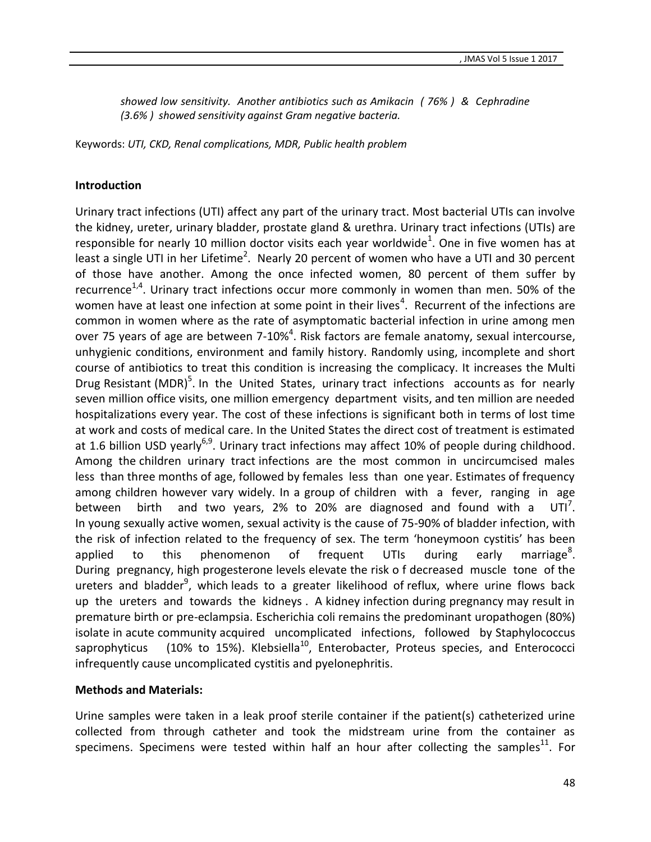*showed low sensitivity. Another antibiotics such as Amikacin ( 76% ) & Cephradine (3.6% ) showed sensitivity against Gram negative bacteria.*

Keywords: *UTI, CKD, Renal complications, MDR, Public health problem*

#### **Introduction**

Urinary tract infections (UTI) affect any part of the urinary tract. Most bacterial UTIs can involve the kidney, ureter, urinary bladder, prostate gland & urethra. Urinary tract infections (UTIs) are responsible for nearly 10 million doctor visits each year worldwide<sup>1</sup>. One in five women has at least a single UTI in her Lifetime<sup>2</sup>. Nearly 20 percent of women who have a UTI and 30 percent of those have another. Among the once infected women, 80 percent of them suffer by recurrence<sup>1,4</sup>. Urinary tract infections occur more commonly in women than men. 50% of the women have at least one infection at some point in their lives<sup>4</sup>. Recurrent of the infections are common in women where as the rate of asymptomatic bacterial infection in urine among men over 75 years of age are between 7-10%<sup>4</sup>. Risk factors are female anatomy, sexual intercourse, unhygienic conditions, environment and family history. Randomly using, incomplete and short course of antibiotics to treat this condition is increasing the complicacy. It increases the Multi Drug Resistant (MDR)<sup>5</sup>. In the United States, urinary tract infections accounts as for nearly seven million office visits, one million emergency department visits, and ten million are needed hospitalizations every year. The cost of these infections is significant both in terms of lost time at work and costs of medical care. In the United States the direct cost of treatment is estimated at 1.6 billion USD yearly<sup>6,9</sup>. Urinary tract infections may affect 10% of people during childhood. Among the children urinary tract infections are the most common in uncircumcised males less than three months of age, followed by females less than one year. Estimates of frequency among children however vary widely. In a group of children with a fever, ranging in age between birth and two years, 2% to 20% are diagnosed and found with a  $UTI^7$ . In young sexually active women, sexual activity is the cause of 75-90% of bladder infection, with the risk of infection related to the frequency of sex. The term 'honeymoon cystitis' has been applied to this phenomenon of frequent UTIs during early marriage<sup>8</sup>. During pregnancy, high progesterone levels elevate the risk o f decreased muscle tone of the ureters and bladder<sup>9</sup>, which leads to a greater likelihood of reflux, where urine flows back up the ureters and towards the kidneys . A kidney infection during pregnancy may result in premature birth or pre-eclampsia. Escherichia coli remains the predominant uropathogen (80%) isolate in acute community acquired uncomplicated infections, followed by Staphylococcus saprophyticus (10% to 15%). Klebsiella<sup>10</sup>, Enterobacter, Proteus species, and Enterococci infrequently cause uncomplicated cystitis and pyelonephritis.

#### **Methods and Materials:**

Urine samples were taken in a leak proof sterile container if the patient(s) catheterized urine collected from through catheter and took the midstream urine from the container as specimens. Specimens were tested within half an hour after collecting the samples<sup>11</sup>. For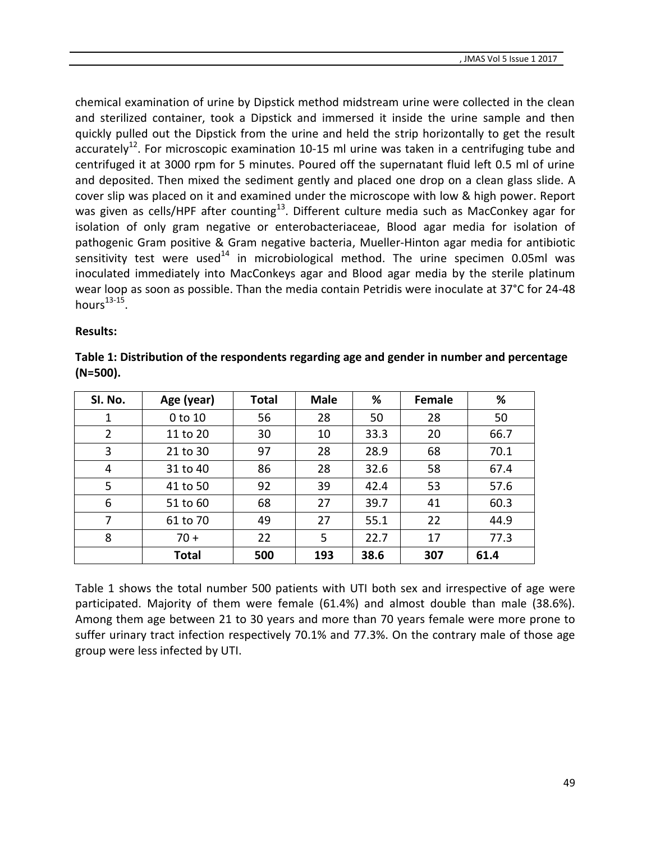chemical examination of urine by Dipstick method midstream urine were collected in the clean and sterilized container, took a Dipstick and immersed it inside the urine sample and then quickly pulled out the Dipstick from the urine and held the strip horizontally to get the result accurately<sup>12</sup>. For microscopic examination 10-15 ml urine was taken in a centrifuging tube and centrifuged it at 3000 rpm for 5 minutes. Poured off the supernatant fluid left 0.5 ml of urine and deposited. Then mixed the sediment gently and placed one drop on a clean glass slide. A cover slip was placed on it and examined under the microscope with low & high power. Report was given as cells/HPF after counting $^{13}$ . Different culture media such as MacConkey agar for isolation of only gram negative or enterobacteriaceae, Blood agar media for isolation of pathogenic Gram positive & Gram negative bacteria, Mueller-Hinton agar media for antibiotic sensitivity test were used<sup>14</sup> in microbiological method. The urine specimen 0.05ml was inoculated immediately into MacConkeys agar and Blood agar media by the sterile platinum wear loop as soon as possible. Than the media contain Petridis were inoculate at 37°C for 24-48 hours $^{13-15}$ .

#### **Results:**

| Table 1: Distribution of the respondents regarding age and gender in number and percentage |  |
|--------------------------------------------------------------------------------------------|--|
| $(N=500).$                                                                                 |  |

| SI. No. | Age (year)   | <b>Total</b> | <b>Male</b> | %    | Female | %    |
|---------|--------------|--------------|-------------|------|--------|------|
| 1       | $0$ to $10$  | 56           | 28          | 50   | 28     | 50   |
| 2       | 11 to 20     | 30           | 10          | 33.3 | 20     | 66.7 |
| 3       | 21 to 30     | 97           | 28          | 28.9 | 68     | 70.1 |
| 4       | 31 to 40     | 86           | 28          | 32.6 | 58     | 67.4 |
| 5       | 41 to 50     | 92           | 39          | 42.4 | 53     | 57.6 |
| 6       | 51 to 60     | 68           | 27          | 39.7 | 41     | 60.3 |
| 7       | 61 to 70     | 49           | 27          | 55.1 | 22     | 44.9 |
| 8       | $70 +$       | 22           | 5           | 22.7 | 17     | 77.3 |
|         | <b>Total</b> | 500          | 193         | 38.6 | 307    | 61.4 |

Table 1 shows the total number 500 patients with UTI both sex and irrespective of age were participated. Majority of them were female (61.4%) and almost double than male (38.6%). Among them age between 21 to 30 years and more than 70 years female were more prone to suffer urinary tract infection respectively 70.1% and 77.3%. On the contrary male of those age group were less infected by UTI.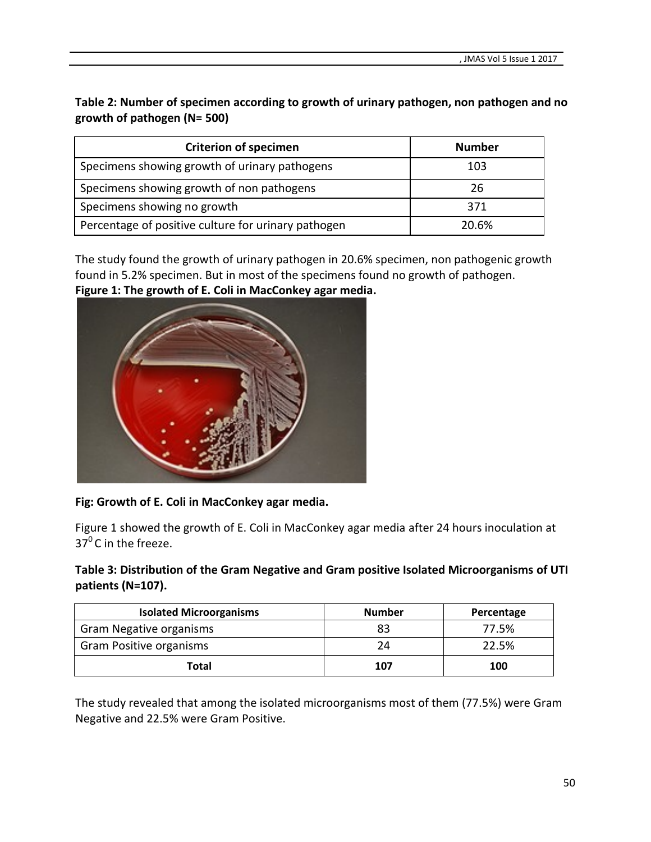**Table 2: Number of specimen according to growth of urinary pathogen, non pathogen and no growth of pathogen (N= 500)**

| <b>Criterion of specimen</b>                        | <b>Number</b> |  |
|-----------------------------------------------------|---------------|--|
| Specimens showing growth of urinary pathogens       | 103           |  |
| Specimens showing growth of non pathogens           | 26            |  |
| Specimens showing no growth                         | 371           |  |
| Percentage of positive culture for urinary pathogen | 20.6%         |  |

The study found the growth of urinary pathogen in 20.6% specimen, non pathogenic growth found in 5.2% specimen. But in most of the specimens found no growth of pathogen. **Figure 1: The growth of E. Coli in MacConkey agar media.**



#### **Fig: Growth of E. Coli in MacConkey agar media.**

Figure 1 showed the growth of E. Coli in MacConkey agar media after 24 hours inoculation at  $37^0$ C in the freeze.

**Table 3: Distribution of the Gram Negative and Gram positive Isolated Microorganisms of UTI patients (N=107).**

| <b>Isolated Microorganisms</b> | <b>Number</b> | Percentage |
|--------------------------------|---------------|------------|
| <b>Gram Negative organisms</b> | 83            | 77.5%      |
| <b>Gram Positive organisms</b> | 24            | 22.5%      |
| Total                          | 107           | 100        |

The study revealed that among the isolated microorganisms most of them (77.5%) were Gram Negative and 22.5% were Gram Positive.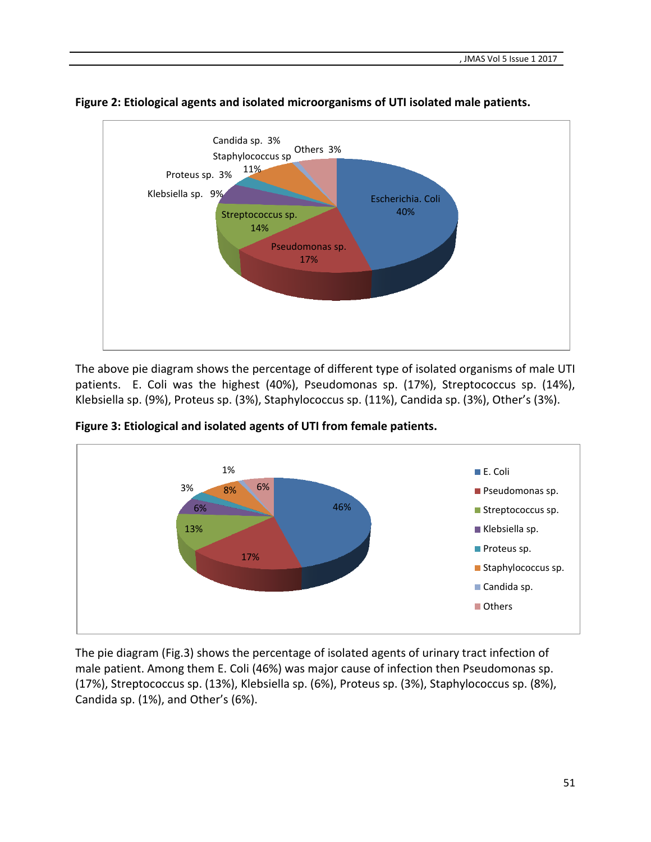

**Figure 2: Etiological agents and isolated microorganisms of UTI isolated male patients.**

The above pie diagram shows the percentage of different type of isolated organisms of male UTI patients. E. Coli was the highest (40%), Pseudomonas sp. (17%), Streptococcus sp. (14%), Klebsiella sp. (9%), Proteus sp. (3%), Staphylococcus sp. (11%), Candida sp. (3%), Other's (3%).





The pie diagram (Fig.3) shows the percentage of isolated agents of urinary tract infection of male patient. Among them E. Coli (46%) was major cause of infection then Pseudomonas sp. (17%), Streptococcus sp. (13%), Klebsiella sp. (6%), Proteus sp. (3%), Staphylococcus sp. (8%), Candida sp. (1%), and Other's (6%).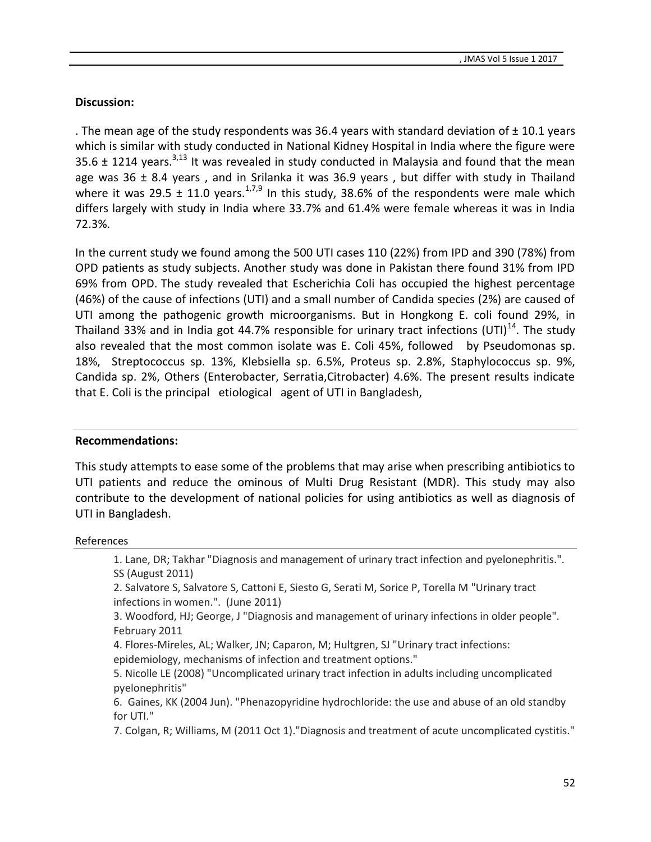#### **Discussion:**

. The mean age of the study respondents was 36.4 years with standard deviation of  $\pm$  10.1 years which is similar with study conducted in National Kidney Hospital in India where the figure were 35.6  $\pm$  1214 years.<sup>3,13</sup> It was revealed in study conducted in Malaysia and found that the mean age was  $36 \pm 8.4$  years, and in Srilanka it was  $36.9$  years, but differ with study in Thailand where it was 29.5  $\pm$  11.0 years.<sup>1,7,9</sup> In this study, 38.6% of the respondents were male which differs largely with study in India where 33.7% and 61.4% were female whereas it was in India 72.3%.

In the current study we found among the 500 UTI cases 110 (22%) from IPD and 390 (78%) from OPD patients as study subjects. Another study was done in Pakistan there found 31% from IPD 69% from OPD. The study revealed that Escherichia Coli has occupied the highest percentage (46%) of the cause of infections (UTI) and a small number of Candida species (2%) are caused of UTI among the pathogenic growth microorganisms. But in Hongkong E. coli found 29%, in Thailand 33% and in India got 44.7% responsible for urinary tract infections (UTI)<sup>14</sup>. The study also revealed that the most common isolate was E. Coli 45%, followed by Pseudomonas sp. 18%, Streptococcus sp. 13%, Klebsiella sp. 6.5%, Proteus sp. 2.8%, Staphylococcus sp. 9%, Candida sp. 2%, Others (Enterobacter, Serratia,Citrobacter) 4.6%. The present results indicate that E. Coli is the principal etiological agent of UTI in Bangladesh,

#### **Recommendations:**

This study attempts to ease some of the problems that may arise when prescribing antibiotics to UTI patients and reduce the ominous of Multi Drug Resistant (MDR). This study may also contribute to the development of national policies for using antibiotics as well as diagnosis of UTI in Bangladesh.

#### References

1. Lane, DR; Takhar "Diagnosis and management of urinary tract infection and pyelonephritis.". SS (August 2011)

2. Salvatore S, Salvatore S, Cattoni E, Siesto G, Serati M, Sorice P, Torella M "Urinary tract infections in women.". (June 2011)

3. Woodford, HJ; George, J "Diagnosis and management of urinary infections in older people". February 2011

4. Flores-Mireles, AL; Walker, JN; Caparon, M; Hultgren, SJ "Urinary tract infections: epidemiology, mechanisms of infection and treatment options."

5. Nicolle LE (2008) "Uncomplicated urinary tract infection in adults including uncomplicated pyelonephritis"

6. Gaines, KK (2004 Jun). "Phenazopyridine hydrochloride: the use and abuse of an old standby for UTI."

7. Colgan, R; Williams, M (2011 Oct 1)."Diagnosis and treatment of acute uncomplicated cystitis."